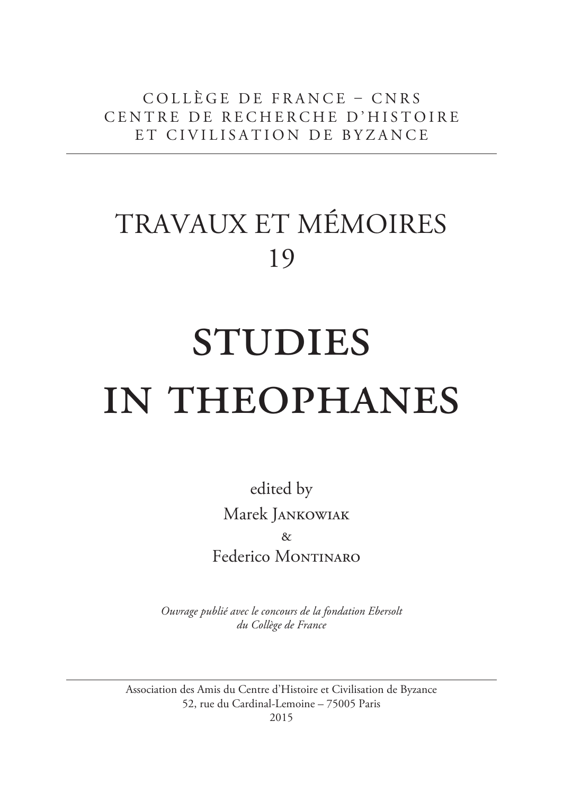COLLÈGE DE FRANCE – CNRS CENTRE DE RECHERCHE D'HISTOIRE ET CIVILISATION DE BYZANCE

# TRAVAUX ET MÉMOIRES 19

# **STUDIES** in theophanes

edited by Marek Jankowiak  $\lambda$ Federico MONTINARO

*Ouvrage publié avec le concours de la fondation Ebersolt du Collège de France*

Association des Amis du Centre d'Histoire et Civilisation de Byzance 52, rue du Cardinal-Lemoine – 75005 Paris

2015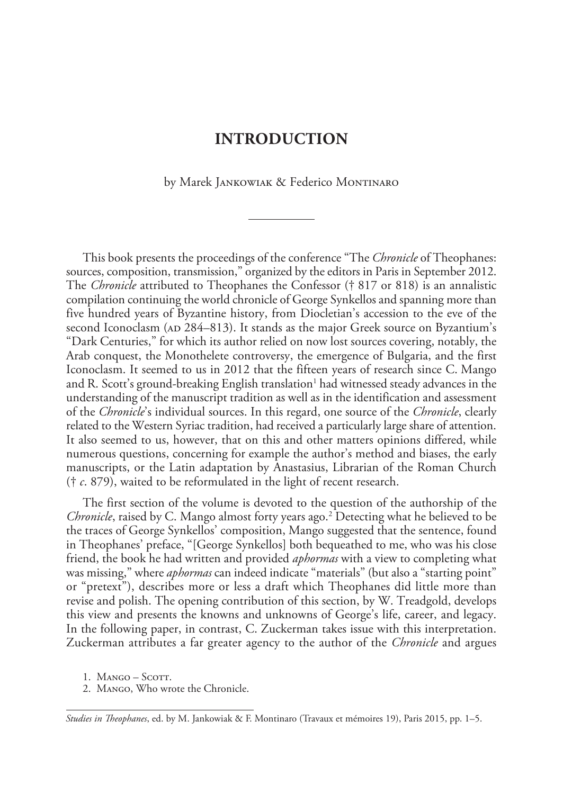# **INTRODUCTION**

by Marek JANKOWIAK & Federico MONTINARO

This book presents the proceedings of the conference "The *Chronicle* of Theophanes: sources, composition, transmission," organized by the editors in Paris in September 2012. The *Chronicle* attributed to Theophanes the Confessor († 817 or 818) is an annalistic compilation continuing the world chronicle of George Synkellos and spanning more than five hundred years of Byzantine history, from Diocletian's accession to the eve of the second Iconoclasm (AD 284–813). It stands as the major Greek source on Byzantium's "Dark Centuries," for which its author relied on now lost sources covering, notably, the Arab conquest, the Monothelete controversy, the emergence of Bulgaria, and the first Iconoclasm. It seemed to us in 2012 that the fifteen years of research since C. Mango and R. Scott's ground-breaking English translation<sup>1</sup> had witnessed steady advances in the understanding of the manuscript tradition as well as in the identification and assessment of the *Chronicle*'s individual sources. In this regard, one source of the *Chronicle*, clearly related to the Western Syriac tradition, had received a particularly large share of attention. It also seemed to us, however, that on this and other matters opinions differed, while numerous questions, concerning for example the author's method and biases, the early manuscripts, or the Latin adaptation by Anastasius, Librarian of the Roman Church († *c*. 879), waited to be reformulated in the light of recent research.

The first section of the volume is devoted to the question of the authorship of the *Chronicle*, raised by C. Mango almost forty years ago.2 Detecting what he believed to be the traces of George Synkellos' composition, Mango suggested that the sentence, found in Theophanes' preface, "[George Synkellos] both bequeathed to me, who was his close friend, the book he had written and provided *aphormas* with a view to completing what was missing," where *aphormas* can indeed indicate "materials" (but also a "starting point" or "pretext"), describes more or less a draft which Theophanes did little more than revise and polish. The opening contribution of this section, by W. Treadgold, develops this view and presents the knowns and unknowns of George's life, career, and legacy. In the following paper, in contrast, C. Zuckerman takes issue with this interpretation. Zuckerman attributes a far greater agency to the author of the *Chronicle* and argues

- 1. MANGO SCOTT.
- 2. Mango, Who wrote the Chronicle.

*Studies in Teophanes*, ed. by M. Jankowiak & F. Montinaro (Travaux et mémoires 19), Paris 2015, pp. 1–5.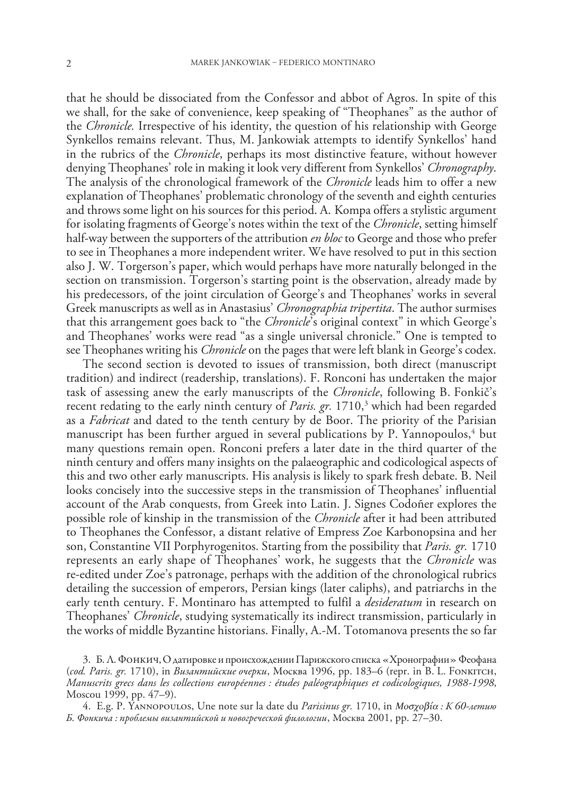that he should be dissociated from the Confessor and abbot of Agros. In spite of this we shall, for the sake of convenience, keep speaking of "Theophanes" as the author of the *Chronicle.* Irrespective of his identity, the question of his relationship with George Synkellos remains relevant. Thus, M. Jankowiak attempts to identify Synkellos' hand in the rubrics of the *Chronicle*, perhaps its most distinctive feature, without however denying Theophanes' role in making it look very different from Synkellos' *Chronography*. The analysis of the chronological framework of the *Chronicle* leads him to offer a new explanation of Theophanes' problematic chronology of the seventh and eighth centuries and throws some light on his sources for this period. A. Kompa offers a stylistic argument for isolating fragments of George's notes within the text of the *Chronicle*, setting himself half-way between the supporters of the attribution *en bloc* to George and those who prefer to see in Theophanes a more independent writer. We have resolved to put in this section also J. W. Torgerson's paper, which would perhaps have more naturally belonged in the section on transmission. Torgerson's starting point is the observation, already made by his predecessors, of the joint circulation of George's and Theophanes' works in several Greek manuscripts as well as in Anastasius' *Chronographia tripertita*. The author surmises that this arrangement goes back to "the *Chronicle*'s original context" in which George's and Theophanes' works were read "as a single universal chronicle." One is tempted to see Theophanes writing his *Chronicle* on the pages that were left blank in George's codex.

The second section is devoted to issues of transmission, both direct (manuscript tradition) and indirect (readership, translations). F. Ronconi has undertaken the major task of assessing anew the early manuscripts of the *Chronicle*, following B. Fonkič's recent redating to the early ninth century of *Paris. gr.* 1710,<sup>3</sup> which had been regarded as a *Fabricat* and dated to the tenth century by de Boor. The priority of the Parisian manuscript has been further argued in several publications by P. Yannopoulos,<sup>4</sup> but many questions remain open. Ronconi prefers a later date in the third quarter of the ninth century and offers many insights on the palaeographic and codicological aspects of this and two other early manuscripts. His analysis is likely to spark fresh debate. B. Neil looks concisely into the successive steps in the transmission of Theophanes' influential account of the Arab conquests, from Greek into Latin. J. Signes Codoñer explores the possible role of kinship in the transmission of the *Chronicle* after it had been attributed to Theophanes the Confessor, a distant relative of Empress Zoe Karbonopsina and her son, Constantine VII Porphyrogenitos. Starting from the possibility that *Paris. gr.* 1710 represents an early shape of Theophanes' work, he suggests that the *Chronicle* was re-edited under Zoe's patronage, perhaps with the addition of the chronological rubrics detailing the succession of emperors, Persian kings (later caliphs), and patriarchs in the early tenth century. F. Montinaro has attempted to fulfil a *desideratum* in research on Theophanes' *Chronicle*, studying systematically its indirect transmission, particularly in the works of middle Byzantine historians. Finally, A.-M. Totomanova presents the so far

<sup>3.</sup> Б. Л. Фонкич, ОдатировкеипроисхожденииПарижского списка «Хронографии» Феофана (*cod. Paris. gr.* 1710), in Византийские очерки, Москва 1996, pp. 183–6 (repr. in B. L. Fonkitch, *Manuscrits grecs dans les collections européennes : études paléographiques et codicologiques, 1988-1998*, Moscou 1999, pp. 47–9).

<sup>4.</sup> E.g. P. Yannopoulos, Une note sur la date du *Parisinus gr.* 1710, in *Μοσχοβία :* К *60-*летию Б*.* Фонкича *:* проблемы византийской и новогреческой филологии, Москва 2001, pp. 27–30.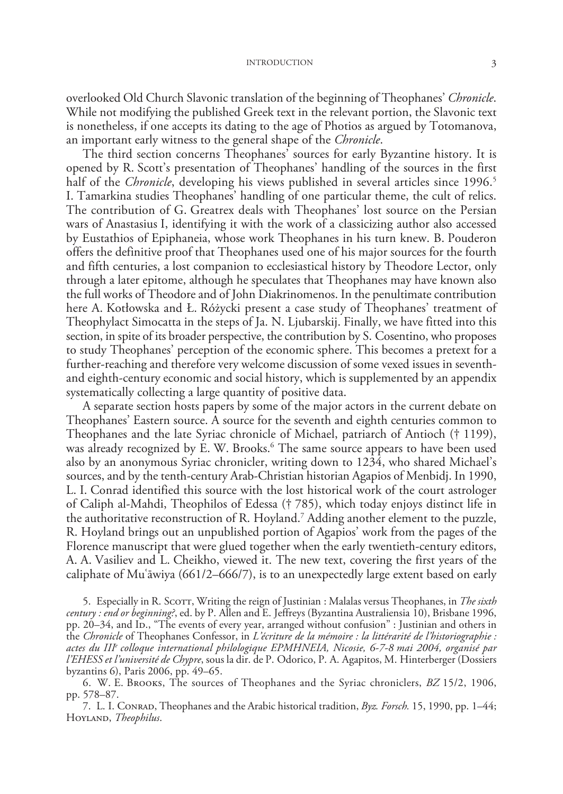#### INTRODUCTION 3

overlooked Old Church Slavonic translation of the beginning of Theophanes' *Chronicle*. While not modifying the published Greek text in the relevant portion, the Slavonic text is nonetheless, if one accepts its dating to the age of Photios as argued by Totomanova, an important early witness to the general shape of the *Chronicle*.

The third section concerns Theophanes' sources for early Byzantine history. It is opened by R. Scott's presentation of Theophanes' handling of the sources in the first half of the *Chronicle*, developing his views published in several articles since 1996.<sup>5</sup> I. Tamarkina studies Theophanes' handling of one particular theme, the cult of relics. The contribution of G. Greatrex deals with Theophanes' lost source on the Persian wars of Anastasius I, identifying it with the work of a classicizing author also accessed by Eustathios of Epiphaneia, whose work Theophanes in his turn knew. B. Pouderon offers the definitive proof that Theophanes used one of his major sources for the fourth and fifth centuries, a lost companion to ecclesiastical history by Theodore Lector, only through a later epitome, although he speculates that Theophanes may have known also the full works of Theodore and of John Diakrinomenos. In the penultimate contribution here A. Kotłowska and Ł. Różycki present a case study of Theophanes' treatment of Theophylact Simocatta in the steps of Ja. N. Ljubarskij. Finally, we have fitted into this section, in spite of its broader perspective, the contribution by S. Cosentino, who proposes to study Theophanes' perception of the economic sphere. This becomes a pretext for a further-reaching and therefore very welcome discussion of some vexed issues in seventhand eighth-century economic and social history, which is supplemented by an appendix systematically collecting a large quantity of positive data.

A separate section hosts papers by some of the major actors in the current debate on Theophanes' Eastern source. A source for the seventh and eighth centuries common to Theophanes and the late Syriac chronicle of Michael, patriarch of Antioch († 1199), was already recognized by E. W. Brooks.6 The same source appears to have been used also by an anonymous Syriac chronicler, writing down to 1234, who shared Michael's sources, and by the tenth-century Arab-Christian historian Agapios of Menbidj. In 1990, L. I. Conrad identified this source with the lost historical work of the court astrologer of Caliph al-Mahdi, Theophilos of Edessa († 785), which today enjoys distinct life in the authoritative reconstruction of R. Hoyland.7 Adding another element to the puzzle, R. Hoyland brings out an unpublished portion of Agapios' work from the pages of the Florence manuscript that were glued together when the early twentieth-century editors, A. A. Vasiliev and L. Cheikho, viewed it. The new text, covering the first years of the caliphate of Muʿāwiya (661/2–666/7), is to an unexpectedly large extent based on early

5. Especially in R. Scott, Writing the reign of Justinian : Malalas versus Theophanes, in *The sixth century : end or beginning?*, ed. by P. Allen and E. Jeffreys (Byzantina Australiensia 10), Brisbane 1996, pp. 20–34, and ID., "The events of every year, arranged without confusion" : Justinian and others in the *Chronicle* of Theophanes Confessor, in *L'écriture de la mémoire : la littérarité de l'historiographie : actes du IIIe colloque international philologique EPMHNEIA, Nicosie, 6-7-8 mai 2004, organisé par l'EHESS et l'université de Chypre*, sous la dir. de P. Odorico, P. A. Agapitos, M. Hinterberger (Dossiers byzantins 6), Paris 2006, pp. 49–65.

<sup>6.</sup> W. E. Brooks, The sources of Theophanes and the Syriac chroniclers, *BZ* 15/2, 1906, pp. 578–87.

<sup>7.</sup> L. I. Conrad, Theophanes and the Arabic historical tradition, *Byz. Forsch.* 15, 1990, pp. 1–44; Hoyland, *Theophilus*.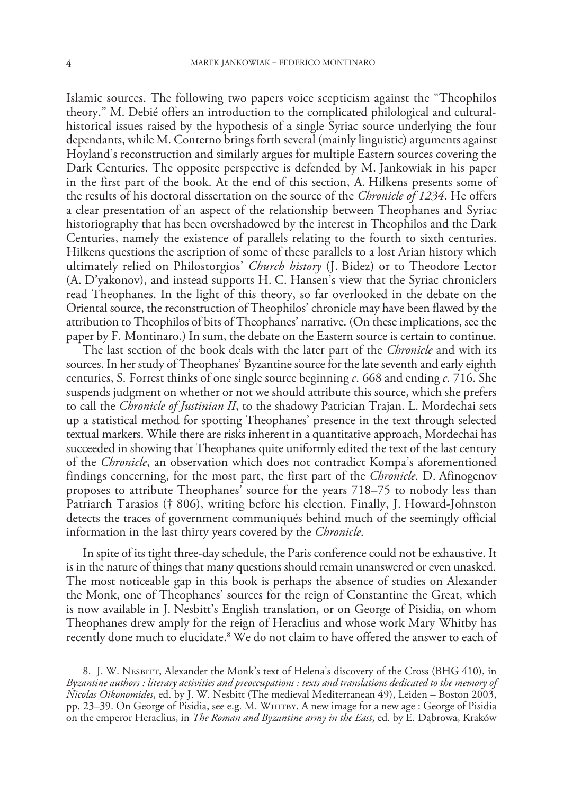Islamic sources. The following two papers voice scepticism against the "Theophilos theory." M. Debié offers an introduction to the complicated philological and culturalhistorical issues raised by the hypothesis of a single Syriac source underlying the four dependants, while M. Conterno brings forth several (mainly linguistic) arguments against Hoyland's reconstruction and similarly argues for multiple Eastern sources covering the Dark Centuries. The opposite perspective is defended by M. Jankowiak in his paper in the first part of the book. At the end of this section, A. Hilkens presents some of the results of his doctoral dissertation on the source of the *Chronicle of 1234*. He offers a clear presentation of an aspect of the relationship between Theophanes and Syriac historiography that has been overshadowed by the interest in Theophilos and the Dark Centuries, namely the existence of parallels relating to the fourth to sixth centuries. Hilkens questions the ascription of some of these parallels to a lost Arian history which ultimately relied on Philostorgios' *Church history* (J. Bidez) or to Theodore Lector (A. D'yakonov), and instead supports H. C. Hansen's view that the Syriac chroniclers read Theophanes. In the light of this theory, so far overlooked in the debate on the Oriental source, the reconstruction of Theophilos' chronicle may have been flawed by the attribution to Theophilos of bits of Theophanes' narrative. (On these implications, see the paper by F. Montinaro.) In sum, the debate on the Eastern source is certain to continue.

The last section of the book deals with the later part of the *Chronicle* and with its sources. In her study of Theophanes' Byzantine source for the late seventh and early eighth centuries, S. Forrest thinks of one single source beginning *c*. 668 and ending *c*. 716. She suspends judgment on whether or not we should attribute this source, which she prefers to call the *Chronicle of Justinian II*, to the shadowy Patrician Trajan. L. Mordechai sets up a statistical method for spotting Theophanes' presence in the text through selected textual markers. While there are risks inherent in a quantitative approach, Mordechai has succeeded in showing that Theophanes quite uniformly edited the text of the last century of the *Chronicle*, an observation which does not contradict Kompa's aforementioned findings concerning, for the most part, the first part of the *Chronicle*. D. Afinogenov proposes to attribute Theophanes' source for the years 718–75 to nobody less than Patriarch Tarasios († 806), writing before his election. Finally, J. Howard-Johnston detects the traces of government communiqués behind much of the seemingly official information in the last thirty years covered by the *Chronicle*.

In spite of its tight three-day schedule, the Paris conference could not be exhaustive. It is in the nature of things that many questions should remain unanswered or even unasked. The most noticeable gap in this book is perhaps the absence of studies on Alexander the Monk, one of Theophanes' sources for the reign of Constantine the Great, which is now available in J. Nesbitt's English translation, or on George of Pisidia, on whom Theophanes drew amply for the reign of Heraclius and whose work Mary Whitby has recently done much to elucidate.<sup>8</sup> We do not claim to have offered the answer to each of

8. J. W. NESBITT, Alexander the Monk's text of Helena's discovery of the Cross (BHG 410), in *Byzantine authors : literary activities and preoccupations : texts and translations dedicated to the memory of Nicolas Oikonomides*, ed. by J. W. Nesbitt (The medieval Mediterranean 49), Leiden – Boston 2003, pp. 23-39. On George of Pisidia, see e.g. М. WHITBY, A new image for a new age : George of Pisidia on the emperor Heraclius, in *The Roman and Byzantine army in the East*, ed. by E. Dąbrowa, Kraków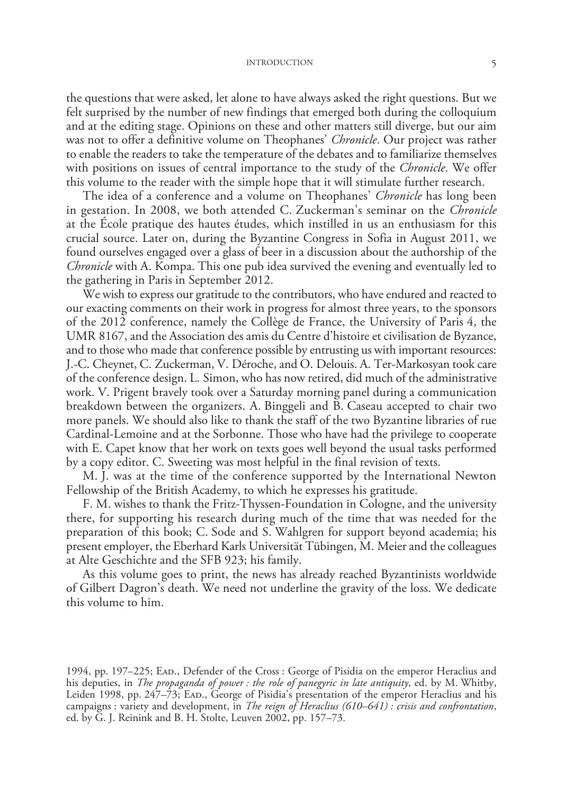#### INTRODUCTION 5

the questions that were asked, let alone to have always asked the right questions. But we felt surprised by the number of new findings that emerged both during the colloquium and at the editing stage. Opinions on these and other matters still diverge, but our aim was not to offer a definitive volume on Theophanes' *Chronicle*. Our project was rather to enable the readers to take the temperature of the debates and to familiarize themselves with positions on issues of central importance to the study of the *Chronicle*. We offer this volume to the reader with the simple hope that it will stimulate further research.

The idea of a conference and a volume on Theophanes' *Chronicle* has long been in gestation. In 2008, we both attended C. Zuckerman's seminar on the *Chronicle* at the École pratique des hautes études, which instilled in us an enthusiasm for this crucial source. Later on, during the Byzantine Congress in Sofia in August 2011, we found ourselves engaged over a glass of beer in a discussion about the authorship of the *Chronicle* with A. Kompa. This one pub idea survived the evening and eventually led to the gathering in Paris in September 2012.

We wish to express our gratitude to the contributors, who have endured and reacted to our exacting comments on their work in progress for almost three years, to the sponsors of the 2012 conference, namely the Collège de France, the University of Paris 4, the UMR 8167, and the Association des amis du Centre d'histoire et civilisation de Byzance, and to those who made that conference possible by entrusting us with important resources: J.-C. Cheynet, C. Zuckerman, V. Déroche, and O. Delouis. A. Ter-Markosyan took care of the conference design. L. Simon, who has now retired, did much of the administrative work. V. Prigent bravely took over a Saturday morning panel during a communication breakdown between the organizers. A. Binggeli and B. Caseau accepted to chair two more panels. We should also like to thank the staff of the two Byzantine libraries of rue Cardinal-Lemoine and at the Sorbonne. Those who have had the privilege to cooperate with E. Capet know that her work on texts goes well beyond the usual tasks performed by a copy editor. C. Sweeting was most helpful in the final revision of texts.

M. J. was at the time of the conference supported by the International Newton Fellowship of the British Academy, to which he expresses his gratitude.

F. M. wishes to thank the Fritz-Thyssen-Foundation in Cologne, and the university there, for supporting his research during much of the time that was needed for the preparation of this book; C. Sode and S. Wahlgren for support beyond academia; his present employer, the Eberhard Karls Universität Tübingen, M. Meier and the colleagues at Alte Geschichte and the SFB 923; his family.

As this volume goes to print, the news has already reached Byzantinists worldwide of Gilbert Dagron's death. We need not underline the gravity of the loss. We dedicate this volume to him.

1994, pp. 197–225; Ead., Defender of the Cross : George of Pisidia on the emperor Heraclius and his deputies, in *The propaganda of power : the role of panegyric in late antiquity*, ed. by M. Whitby, Leiden 1998, pp. 247-73; EAD., George of Pisidia's presentation of the emperor Heraclius and his campaigns : variety and development, in *The reign of Heraclius (610–641) : crisis and confrontation*, ed. by G. J. Reinink and B. H. Stolte, Leuven 2002, pp. 157–73.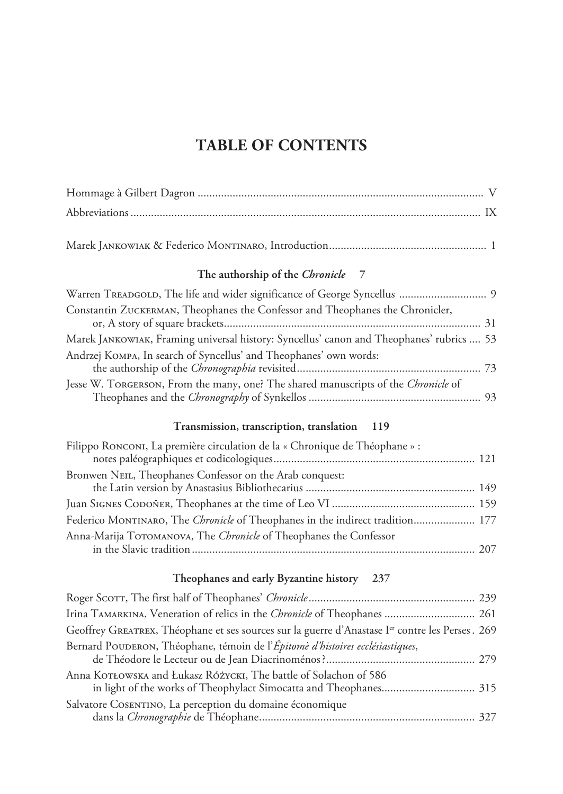# **TABLE OF CONTENTS**

| The authorship of the Chronicle<br>7                                                                                                  |
|---------------------------------------------------------------------------------------------------------------------------------------|
| Warren TREADGOLD, The life and wider significance of George Syncellus  9                                                              |
| Constantin ZUCKERMAN, Theophanes the Confessor and Theophanes the Chronicler,                                                         |
| Marek JANKOWIAK, Framing universal history: Syncellus' canon and Theophanes' rubrics  53                                              |
| Andrzej KOMPA, In search of Syncellus' and Theophanes' own words:                                                                     |
| Jesse W. TORGERSON, From the many, one? The shared manuscripts of the Chronicle of                                                    |
| Transmission, transcription, translation 119                                                                                          |
| Filippo RONCONI, La première circulation de la « Chronique de Théophane » :                                                           |
| Bronwen NEIL, Theophanes Confessor on the Arab conquest:                                                                              |
|                                                                                                                                       |
| Federico MONTINARO, The Chronicle of Theophanes in the indirect tradition 177                                                         |
| Anna-Marija TOTOMANOVA, The Chronicle of Theophanes the Confessor                                                                     |
|                                                                                                                                       |
| Theophanes and early Byzantine history 237                                                                                            |
|                                                                                                                                       |
| Irina TAMARKINA, Veneration of relics in the Chronicle of Theophanes  261                                                             |
| Geoffrey GREATREX, Théophane et ses sources sur la guerre d'Anastase I <sup>er</sup> contre les Perses. 269                           |
| Bernard POUDERON, Théophane, témoin de l'Épitomè d'histoires ecclésiastiques,                                                         |
| Anna KOTŁOWSKA and Łukasz RÓŻYCKI, The battle of Solachon of 586<br>in light of the works of Theophylact Simocatta and Theophanes 315 |
| Salvatore COSENTINO, La perception du domaine économique                                                                              |